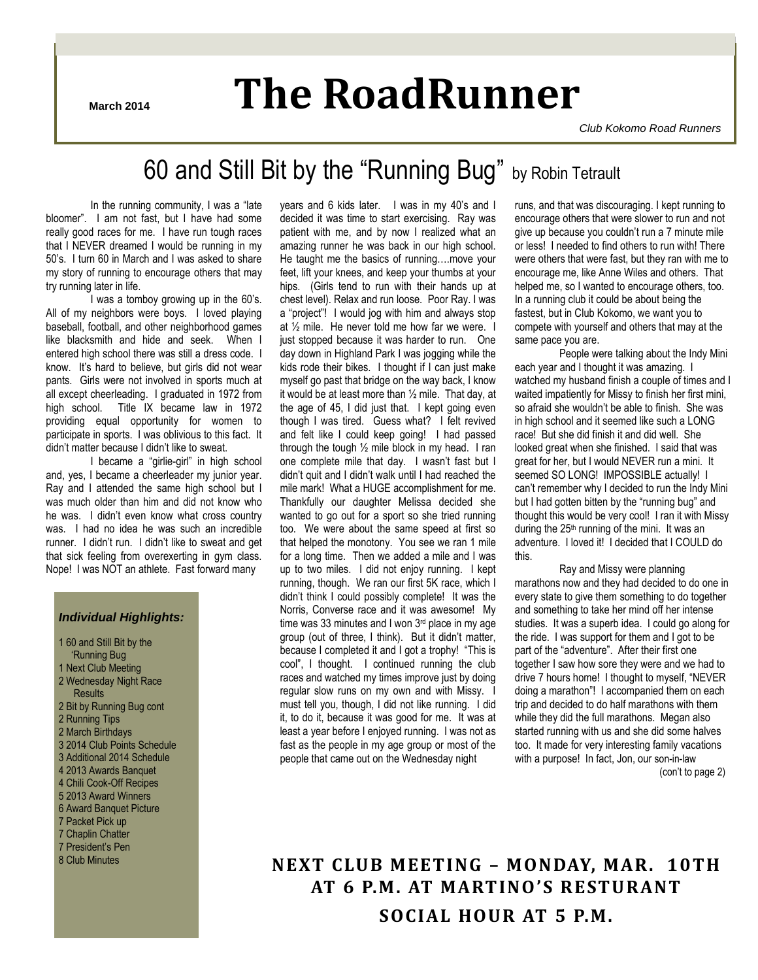# **March 2014 The RoadRunner**

*Club Kokomo Road Runners*

## 60 and Still Bit by the "Running Bug" by Robin Tetrault

In the running community, I was a "late bloomer". I am not fast, but I have had some really good races for me. I have run tough races that I NEVER dreamed I would be running in my 50"s. I turn 60 in March and I was asked to share my story of running to encourage others that may try running later in life.

I was a tomboy growing up in the 60"s. All of my neighbors were boys. I loved playing baseball, football, and other neighborhood games like blacksmith and hide and seek. When I entered high school there was still a dress code. I know. It's hard to believe, but girls did not wear pants. Girls were not involved in sports much at all except cheerleading. I graduated in 1972 from high school. Title IX became law in 1972 providing equal opportunity for women to participate in sports. I was oblivious to this fact. It didn"t matter because I didn"t like to sweat.

I became a "girlie-girl" in high school and, yes, I became a cheerleader my junior year. Ray and I attended the same high school but I was much older than him and did not know who he was. I didn"t even know what cross country was. I had no idea he was such an incredible runner. I didn"t run. I didn"t like to sweat and get that sick feeling from overexerting in gym class. Nope! I was NOT an athlete. Fast forward many

#### *Individual Highlights:*

#### 1 60 and Still Bit by the "Running Bug 1 Next Club Meeting 2 Wednesday Night Race **Results** 2 Bit by Running Bug cont 2 Running Tips 2 March Birthdays 3 2014 Club Points Schedule 3 Additional 2014 Schedule 4 2013 Awards Banquet 4 Chili Cook-Off Recipes 5 2013 Award Winners 6 Award Banquet Picture 7 Packet Pick up 7 Chaplin Chatter 7 President"s Pen

years and 6 kids later. I was in my 40"s and I decided it was time to start exercising. Ray was patient with me, and by now I realized what an amazing runner he was back in our high school. He taught me the basics of running….move your feet, lift your knees, and keep your thumbs at your hips. (Girls tend to run with their hands up at chest level). Relax and run loose. Poor Ray. I was a "project"! I would jog with him and always stop at ½ mile. He never told me how far we were. I just stopped because it was harder to run. One day down in Highland Park I was jogging while the kids rode their bikes. I thought if I can just make myself go past that bridge on the way back, I know it would be at least more than  $\frac{1}{2}$  mile. That day, at the age of 45, I did just that. I kept going even though I was tired. Guess what? I felt revived and felt like I could keep going! I had passed through the tough  $\frac{1}{2}$  mile block in my head. I ran one complete mile that day. I wasn"t fast but I didn"t quit and I didn"t walk until I had reached the mile mark! What a HUGE accomplishment for me. Thankfully our daughter Melissa decided she wanted to go out for a sport so she tried running too. We were about the same speed at first so that helped the monotony. You see we ran 1 mile for a long time. Then we added a mile and I was up to two miles. I did not enjoy running. I kept running, though. We ran our first 5K race, which I didn"t think I could possibly complete! It was the Norris, Converse race and it was awesome! My time was 33 minutes and I won  $3<sup>rd</sup>$  place in my age group (out of three, I think). But it didn"t matter, because I completed it and I got a trophy! "This is cool", I thought. I continued running the club races and watched my times improve just by doing regular slow runs on my own and with Missy. I must tell you, though, I did not like running. I did it, to do it, because it was good for me. It was at least a year before I enjoyed running. I was not as fast as the people in my age group or most of the people that came out on the Wednesday night

runs, and that was discouraging. I kept running to encourage others that were slower to run and not give up because you couldn"t run a 7 minute mile or less! I needed to find others to run with! There were others that were fast, but they ran with me to encourage me, like Anne Wiles and others. That

helped me, so I wanted to encourage others, too. In a running club it could be about being the fastest, but in Club Kokomo, we want you to compete with yourself and others that may at the same pace you are.

People were talking about the Indy Mini each year and I thought it was amazing. I watched my husband finish a couple of times and I waited impatiently for Missy to finish her first mini, so afraid she wouldn"t be able to finish. She was in high school and it seemed like such a LONG race! But she did finish it and did well. She looked great when she finished. I said that was great for her, but I would NEVER run a mini. It seemed SO LONG! IMPOSSIBLE actually! I can"t remember why I decided to run the Indy Mini but I had gotten bitten by the "running bug" and thought this would be very cool! I ran it with Missy during the  $25<sup>th</sup>$  running of the mini. It was an adventure. I loved it! I decided that I COULD do this.

Ray and Missy were planning marathons now and they had decided to do one in every state to give them something to do together and something to take her mind off her intense studies. It was a superb idea. I could go along for the ride. I was support for them and I got to be part of the "adventure". After their first one together I saw how sore they were and we had to drive 7 hours home! I thought to myself, "NEVER doing a marathon"! I accompanied them on each trip and decided to do half marathons with them while they did the full marathons. Megan also started running with us and she did some halves too. It made for very interesting family vacations with a purpose! In fact, Jon, our son-in-law (con"t to page 2)

### 8 Club Minutes **NEXT CLUB MEETING - MONDAY, MAR. 10TH AT 6 P.M. AT MARTINO'S RESTURANT SOCIAL HOUR AT 5 P.M.**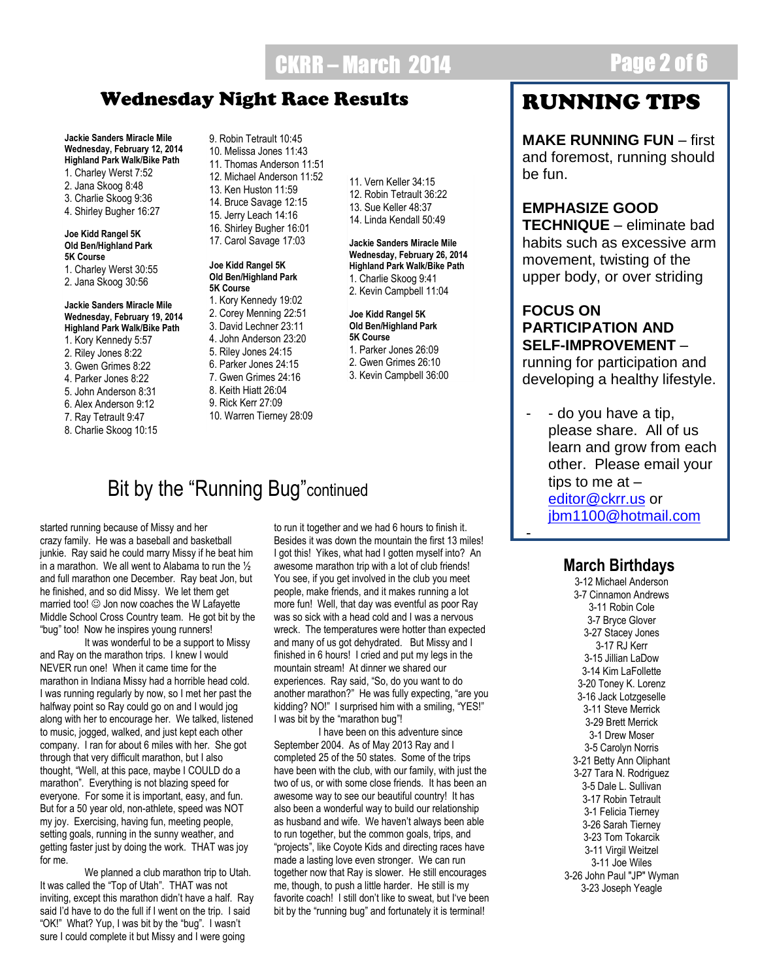### CKRR – March 2014 Page 2 of 6

### Wednesday Night Race Results RUNNING TIPS

**Jackie Sanders Miracle Mile Wednesday, February 12, 2014 Highland Park Walk/Bike Path** 1. Charley Werst 7:52 2. Jana Skoog 8:48 3. Charlie Skoog 9:36 4. Shirley Bugher 16:27

#### **Joe Kidd Rangel 5K Old Ben/Highland Park 5K Course**

1. Charley Werst 30:55

2. Jana Skoog 30:56

#### **Jackie Sanders Miracle Mile Wednesday, February 19, 2014 Highland Park Walk/Bike Path**

#### 1. Kory Kennedy 5:57

- 2. Riley Jones 8:22
- 3. Gwen Grimes 8:22
- 4. Parker Jones 8:22
- 5. John Anderson 8:31
- 6. Alex Anderson 9:12
- 7. Ray Tetrault 9:47
- 8. Charlie Skoog 10:15

9. Robin Tetrault 10:45 10. Melissa Jones 11:43 11. Thomas Anderson 11:51 12. Michael Anderson 11:52 13. Ken Huston 11:59 14. Bruce Savage 12:15 15. Jerry Leach 14:16 16. Shirley Bugher 16:01 17. Carol Savage 17:03 **Joe Kidd Rangel 5K**

#### **Old Ben/Highland Park 5K Course**

1. Kory Kennedy 19:02 2. Corey Menning 22:51 3. David Lechner 23:11 4. John Anderson 23:20 5. Riley Jones 24:15 6. Parker Jones 24:15 7. Gwen Grimes 24:16 8. Keith Hiatt 26:04 9. Rick Kerr 27:09 10. Warren Tierney 28:09 11. Vern Keller 34:15 12. Robin Tetrault 36:22

- 13. Sue Keller 48:37
- 14. Linda Kendall 50:49

#### **Jackie Sanders Miracle Mile Wednesday, February 26, 2014 Highland Park Walk/Bike Path** 1. Charlie Skoog 9:41

2. Kevin Campbell 11:04

#### **Joe Kidd Rangel 5K Old Ben/Highland Park 5K Course**

- 1. Parker Jones 26:09
- 2. Gwen Grimes 26:10
- 3. Kevin Campbell 36:00

## Bit by the "Running Bug"continued

started running because of Missy and her crazy family. He was a baseball and basketball junkie. Ray said he could marry Missy if he beat him in a marathon. We all went to Alabama to run the  $\frac{1}{2}$ and full marathon one December. Ray beat Jon, but he finished, and so did Missy. We let them get married too!  $\odot$  Jon now coaches the W Lafayette Middle School Cross Country team. He got bit by the "bug" too! Now he inspires young runners!

It was wonderful to be a support to Missy and Ray on the marathon trips. I knew I would NEVER run one! When it came time for the marathon in Indiana Missy had a horrible head cold. I was running regularly by now, so I met her past the halfway point so Ray could go on and I would jog along with her to encourage her. We talked, listened to music, jogged, walked, and just kept each other company. I ran for about 6 miles with her. She got through that very difficult marathon, but I also thought, "Well, at this pace, maybe I COULD do a marathon". Everything is not blazing speed for everyone. For some it is important, easy, and fun. But for a 50 year old, non-athlete, speed was NOT my joy. Exercising, having fun, meeting people, setting goals, running in the sunny weather, and getting faster just by doing the work. THAT was joy for me.

We planned a club marathon trip to Utah. It was called the "Top of Utah". THAT was not inviting, except this marathon didn"t have a half. Ray said I'd have to do the full if I went on the trip. I said "OK!" What? Yup, I was bit by the "bug". I wasn"t sure I could complete it but Missy and I were going

to run it together and we had 6 hours to finish it. Besides it was down the mountain the first 13 miles! I got this! Yikes, what had I gotten myself into? An awesome marathon trip with a lot of club friends! You see, if you get involved in the club you meet people, make friends, and it makes running a lot more fun! Well, that day was eventful as poor Ray was so sick with a head cold and I was a nervous wreck. The temperatures were hotter than expected and many of us got dehydrated. But Missy and I finished in 6 hours! I cried and put my legs in the mountain stream! At dinner we shared our experiences. Ray said, "So, do you want to do another marathon?" He was fully expecting, "are you kidding? NO!" I surprised him with a smiling, "YES!" I was bit by the "marathon bug"!

I have been on this adventure since September 2004. As of May 2013 Ray and I completed 25 of the 50 states. Some of the trips have been with the club, with our family, with just the two of us, or with some close friends. It has been an awesome way to see our beautiful country! It has also been a wonderful way to build our relationship as husband and wife. We haven't always been able to run together, but the common goals, trips, and "projects", like Coyote Kids and directing races have made a lasting love even stronger. We can run together now that Ray is slower. He still encourages me, though, to push a little harder. He still is my favorite coach! I still don't like to sweat, but I've been bit by the "running bug" and fortunately it is terminal!

**MAKE RUNNING FUN** – first and foremost, running should be fun.

### **EMPHASIZE GOOD**

**TECHNIQUE** – eliminate bad habits such as excessive arm movement, twisting of the upper body, or over striding

### **FOCUS ON PARTICIPATION AND SELF-IMPROVEMENT** –

running for participation and developing a healthy lifestyle.

- do you have a tip, please share. All of us learn and grow from each other. Please email your tips to me at – [editor@ckrr.us](mailto:editor@ckrr.us) or [jbm1100@hotmail.com](mailto:jbm1100@hotmail.com)

### **March Birthdays**

-

3-12 Michael Anderson 3-7 Cinnamon Andrews 3-11 Robin Cole 3-7 Bryce Glover 3-27 Stacey Jones 3-17 RJ Kerr 3-15 Jillian LaDow 3-14 Kim LaFollette 3-20 Toney K. Lorenz 3-16 Jack Lotzgeselle 3-11 Steve Merrick 3-29 Brett Merrick 3-1 Drew Moser 3-5 Carolyn Norris 3-21 Betty Ann Oliphant 3-27 Tara N. Rodriguez 3-5 Dale L. Sullivan 3-17 Robin Tetrault 3-1 Felicia Tierney 3-26 Sarah Tierney 3-23 Tom Tokarcik 3-11 Virgil Weitzel 3-11 Joe Wiles 3-26 John Paul "JP" Wyman 3-23 Joseph Yeagle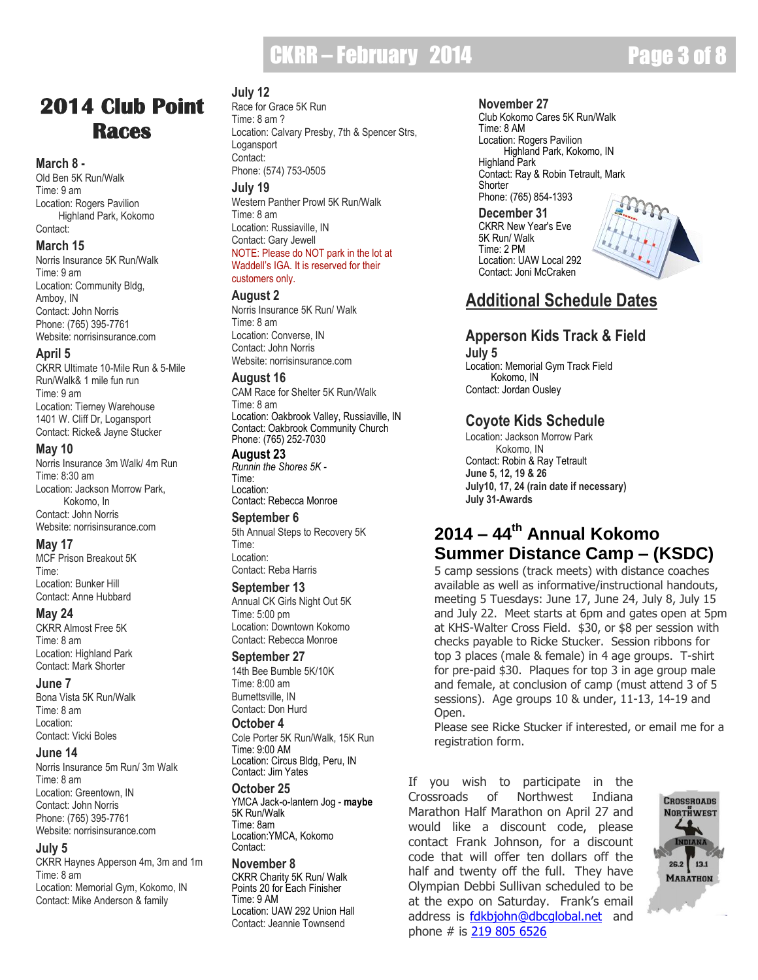## **CKRR – February 2014 CKRR – Page 3 of 8**

### **2014 Club Point Races**

#### **March 8 -**

Old Ben 5K Run/Walk Time: 9 am Location: Rogers Pavilion Highland Park, Kokomo Contact:

#### **March 15**

Norris Insurance 5K Run/Walk Time: 9 am Location: Community Bldg, Amboy, IN Contact: John Norris Phone: (765) 395-7761 Website: norrisinsurance.com

#### **April 5**

CKRR Ultimate 10-Mile Run & 5-Mile Run/Walk& 1 mile fun run Time: 9 am Location: Tierney Warehouse 1401 W. Cliff Dr, Logansport Contact: Ricke& Jayne Stucker

#### **May 10**

Norris Insurance 3m Walk/ 4m Run Time: 8:30 am Location: Jackson Morrow Park, Kokomo, In Contact: John Norris Website: norrisinsurance.com

#### **May 17**

MCF Prison Breakout 5K Time: Location: Bunker Hill Contact: Anne Hubbard

#### **May 24**

CKRR Almost Free 5K Time: 8 am Location: Highland Park Contact: Mark Shorter

#### **June 7**

Bona Vista 5K Run/Walk Time: 8 am Location: Contact: Vicki Boles

#### **June 14**

Norris Insurance 5m Run/ 3m Walk Time: 8 am Location: Greentown, IN Contact: John Norris Phone: (765) 395-7761 Website: norrisinsurance.com

#### **July 5**

CKRR Haynes Apperson 4m, 3m and 1m Time: 8 am Location: Memorial Gym, Kokomo, IN Contact: Mike Anderson & family

### **July 12**

Race for Grace 5K Run Time: 8 am ? Location: Calvary Presby, 7th & Spencer Strs, Logansport Contact: Phone: (574) 753-0505

**July 19**

Western Panther Prowl 5K Run/Walk Time: 8 am Location: Russiaville, IN Contact: Gary Jewell NOTE: Please do NOT park in the lot at Waddell"s IGA. It is reserved for their customers only.

#### **August 2**

Norris Insurance 5K Run/ Walk Time: 8 am Location: Converse, IN Contact: John Norris Website: norrisinsurance.com

#### **August 16**

CAM Race for Shelter 5K Run/Walk Time: 8 am Location: Oakbrook Valley, Russiaville, IN Contact: Oakbrook Community Church Phone: (765) 252-7030

#### **August 23**

*Runnin the Shores 5K -* Time: Location: Contact: Rebecca Monroe

**September 6** 5th Annual Steps to Recovery 5K Time: Location: Contact: Reba Harris

#### **September 13**

Annual CK Girls Night Out 5K Time: 5:00 pm Location: Downtown Kokomo Contact: Rebecca Monroe

#### **September 27**

14th Bee Bumble 5K/10K Time: 8:00 am Burnettsville, IN Contact: Don Hurd

#### **October 4**

Cole Porter 5K Run/Walk, 15K Run Time: 9:00 AM Location: Circus Bldg, Peru, IN Contact: Jim Yates

#### **October 25**

YMCA Jack-o-lantern Jog - **maybe** 5K Run/Walk Time: 8am Location:YMCA, Kokomo Contact:

#### **November 8**

CKRR Charity 5K Run/ Walk Points 20 for Each Finisher Time: 9 AM Location: UAW 292 Union Hall Contact: Jeannie Townsend

#### **November 27**

Club Kokomo Cares 5K Run/Walk Time: 8 AM Location: Rogers Pavilion Highland Park, Kokomo, IN Highland Park Contact: Ray & Robin Tetrault, Mark **Shorter** Phone: (765) 854-1393

**December 31** CKRR New Year's Eve 5K Run/ Walk Time: 2 PM Location: UAW Local 292 Contact: Joni McCraken



### **Additional Schedule Dates**

#### **Apperson Kids Track & Field**

**July 5** Location: Memorial Gym Track Field Kokomo, IN Contact: Jordan Ousley

### **Coyote Kids Schedule**

Location: Jackson Morrow Park Kokomo, IN Contact: Robin & Ray Tetrault **June 5, 12, 19 & 26 July10, 17, 24 (rain date if necessary) July 31-Awards**

### **2014 – 44th Annual Kokomo Summer Distance Camp – (KSDC)**

5 camp sessions (track meets) with distance coaches available as well as informative/instructional handouts, meeting 5 Tuesdays: June 17, June 24, July 8, July 15 and July 22. Meet starts at 6pm and gates open at 5pm at KHS-Walter Cross Field. \$30, or \$8 per session with checks payable to Ricke Stucker. Session ribbons for top 3 places (male & female) in 4 age groups. T-shirt for pre-paid \$30. Plaques for top 3 in age group male and female, at conclusion of camp (must attend 3 of 5 sessions). Age groups 10 & under, 11-13, 14-19 and Open.

Please see Ricke Stucker if interested, or email me for a registration form.

If you wish to participate in the Crossroads of Northwest Indiana Marathon Half Marathon on April 27 and would like a discount code, please contact Frank Johnson, for a discount code that will offer ten dollars off the half and twenty off the full. They have Olympian Debbi Sullivan scheduled to be at the expo on Saturday. Frank's email address is [fdkbjohn@dbcglobal.net](mailto:fdkbjohn@dbcglobal.net) and phone # is [219 805 6526](tel:219%20805%206526)

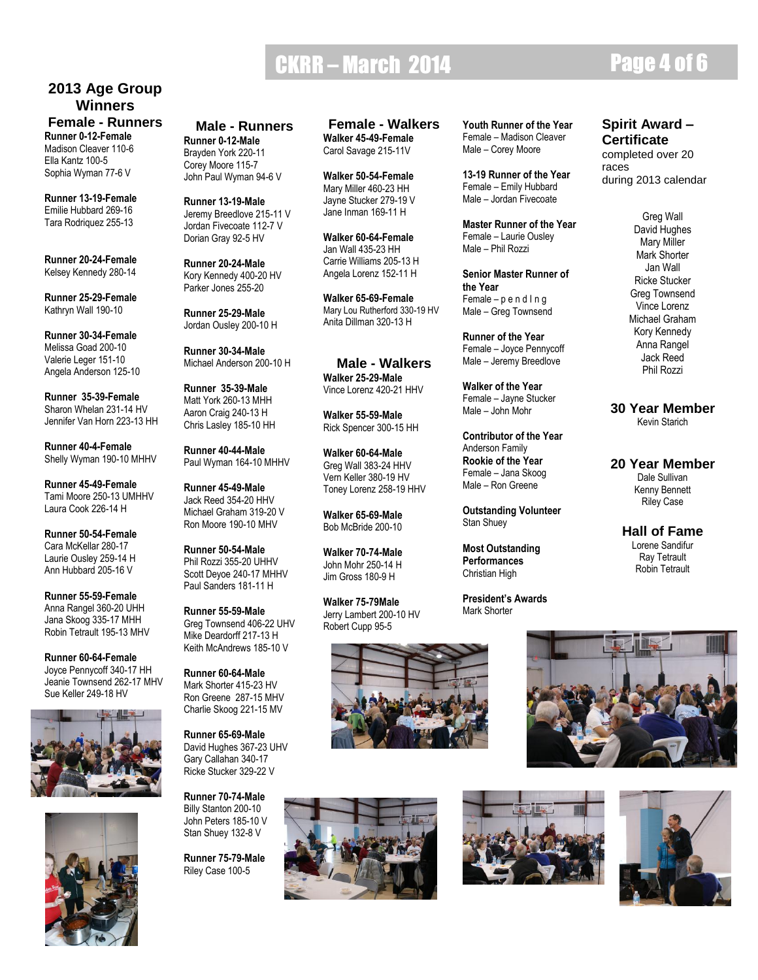## **CKRR – March 2014 <b>Page 4 of 6**

### **2013 Age Group Winners**

**Female - Runners Runner 0-12-Female** Madison Cleaver 110-6 Ella Kantz 100-5 Sophia Wyman 77-6 V

**Runner 13-19-Female** Emilie Hubbard 269-16 Tara Rodriquez 255-13

**Runner 20-24-Female** Kelsey Kennedy 280-14

**Runner 25-29-Female** Kathryn Wall 190-10

**Runner 30-34-Female** Melissa Goad 200-10 Valerie Leger 151-10 Angela Anderson 125-10

**Runner 35-39-Female** Sharon Whelan 231-14 HV Jennifer Van Horn 223-13 HH

**Runner 40-4-Female** Shelly Wyman 190-10 MHHV

**Runner 45-49-Female** Tami Moore 250-13 UMHHV Laura Cook 226-14 H

**Runner 50-54-Female** Cara McKellar 280-17 Laurie Ousley 259-14 H Ann Hubbard 205-16 V

**Runner 55-59-Female** Anna Rangel 360-20 UHH Jana Skoog 335-17 MHH Robin Tetrault 195-13 MHV

**Runner 60-64-Female** Joyce Pennycoff 340-17 HH Jeanie Townsend 262-17 MHV Sue Keller 249-18 HV





**Male - Runners**

**Runner 0-12-Male** Brayden York 220-11 Corey Moore 115-7 John Paul Wyman 94-6 V

**Runner 13-19-Male** Jeremy Breedlove 215-11 V Jordan Fivecoate 112-7 V Dorian Gray 92-5 HV

**Runner 20-24-Male** Kory Kennedy 400-20 HV Parker Jones 255-20

**Runner 25-29-Male** Jordan Ousley 200-10 H

**Runner 30-34-Male** Michael Anderson 200-10 H

**Runner 35-39-Male** Matt York 260-13 MHH Aaron Craig 240-13 H Chris Lasley 185-10 HH

**Runner 40-44-Male** Paul Wyman 164-10 MHHV

**Runner 45-49-Male** Jack Reed 354-20 HHV Michael Graham 319-20 V Ron Moore 190-10 MHV

**Runner 50-54-Male** Phil Rozzi 355-20 UHHV Scott Deyoe 240-17 MHHV Paul Sanders 181-11 H

**Runner 55-59-Male** Greg Townsend 406-22 UHV Mike Deardorff 217-13 H Keith McAndrews 185-10 V

**Runner 60-64-Male** Mark Shorter 415-23 HV Ron Greene 287-15 MHV Charlie Skoog 221-15 MV

**Runner 65-69-Male** David Hughes 367-23 UHV Gary Callahan 340-17 Ricke Stucker 329-22 V

**Runner 70-74-Male** Billy Stanton 200-10 John Peters 185-10 V Stan Shuey 132-8 V

**Runner 75-79-Male** Riley Case 100-5

**Female - Walkers Walker 45-49-Female** Carol Savage 215-11V

**Walker 50-54-Female** Mary Miller 460-23 HH Jayne Stucker 279-19 V Jane Inman 169-11 H

**Walker 60-64-Female** Jan Wall 435-23 HH Carrie Williams 205-13 H Angela Lorenz 152-11 H

**Walker 65-69-Female** Mary Lou Rutherford 330-19 HV Anita Dillman 320-13 H

**Male - Walkers Walker 25-29-Male** Vince Lorenz 420-21 HHV

**Walker 55-59-Male** Rick Spencer 300-15 HH

**Walker 60-64-Male** Greg Wall 383-24 HHV Vern Keller 380-19 HV Toney Lorenz 258-19 HHV

**Walker 65-69-Male** Bob McBride 200-10

**Walker 70-74-Male** John Mohr 250-14 H Jim Gross 180-9 H

**Walker 75-79Male** Jerry Lambert 200-10 HV Robert Cupp 95-5





**Youth Runner of the Year** Female – Madison Cleaver Male – Corey Moore

**13-19 Runner of the Year** Female – Emily Hubbard Male – Jordan Fivecoate

**Master Runner of the Year** Female – Laurie Ousley Male – Phil Rozzi

**Senior Master Runner of the Year** Female – p e n d I n g Male – Greg Townsend

**Runner of the Year** Female – Joyce Pennycoff Male – Jeremy Breedlove

**Walker of the Year** Female – Jayne Stucker Male – John Mohr

**Contributor of the Year** Anderson Family **Rookie of the Year** Female – Jana Skoog Male – Ron Greene

**Outstanding Volunteer** Stan Shuey

**Most Outstanding Performances** Christian High

**President's Awards** Mark Shorter



Mary Miller Mark Shorter Jan Wall Ricke Stucker Greg Townsend Vince Lorenz Michael Graham Kory Kennedy Anna Rangel Jack Reed Phil Rozzi

**30 Year Member** Kevin Starich

#### **20 Year Member**

Dale Sullivan Kenny Bennett Riley Case

**Hall of Fame** Lorene Sandifur Ray Tetrault Robin Tetrault







**Spirit Award – Certificate** completed over 20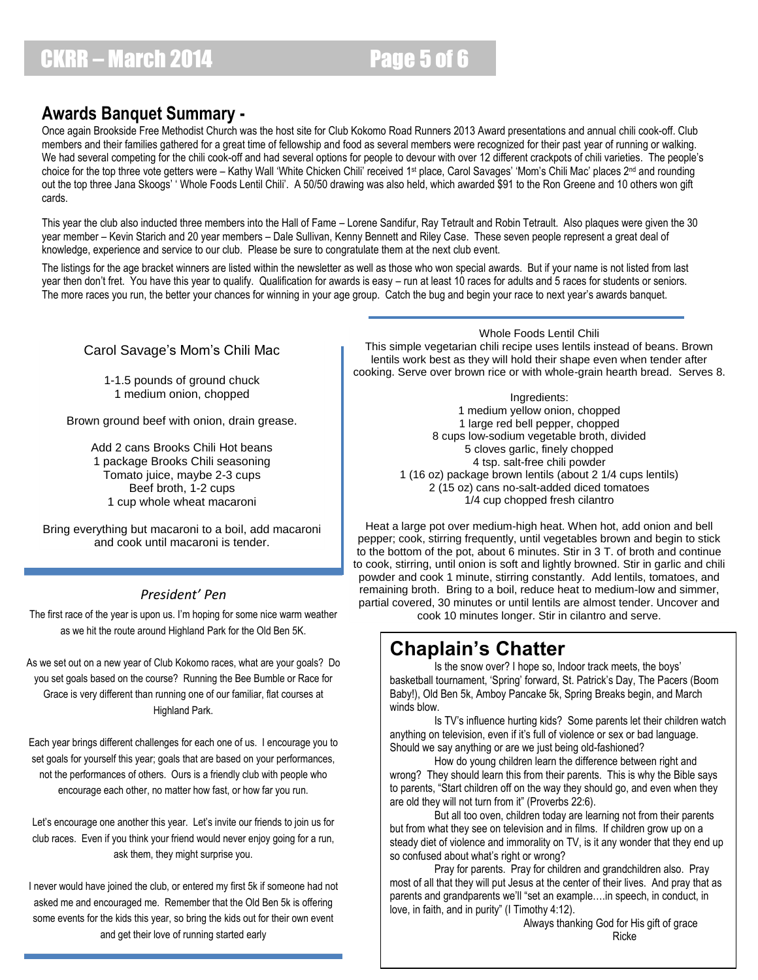### **Awards Banquet Summary -**

Once again Brookside Free Methodist Church was the host site for Club Kokomo Road Runners 2013 Award presentations and annual chili cook-off. Club members and their families gathered for a great time of fellowship and food as several members were recognized for their past year of running or walking. We had several competing for the chili cook-off and had several options for people to devour with over 12 different crackpots of chili varieties. The people's choice for the top three vote getters were – Kathy Wall 'White Chicken Chili' received 1<sup>st</sup> place, Carol Savages' 'Mom's Chili Mac' places 2<sup>nd</sup> and rounding out the top three Jana Skoogs' 'Whole Foods Lentil Chili'. A 50/50 drawing was also held, which awarded \$91 to the Ron Greene and 10 others won gift cards.

This year the club also inducted three members into the Hall of Fame – Lorene Sandifur, Ray Tetrault and Robin Tetrault. Also plaques were given the 30 year member – Kevin Starich and 20 year members – Dale Sullivan, Kenny Bennett and Riley Case. These seven people represent a great deal of knowledge, experience and service to our club. Please be sure to congratulate them at the next club event.

The listings for the age bracket winners are listed within the newsletter as well as those who won special awards. But if your name is not listed from last year then don't fret. You have this year to qualify. Qualification for awards is easy – run at least 10 races for adults and 5 races for students or seniors. The more races you run, the better your chances for winning in your age group. Catch the bug and begin your race to next year"s awards banquet.

### Carol Savage's Mom's Chili Mac

1-1.5 pounds of ground chuck 1 medium onion, chopped

Brown ground beef with onion, drain grease.

Add 2 cans Brooks Chili Hot beans 1 package Brooks Chili seasoning Tomato juice, maybe 2-3 cups Beef broth, 1-2 cups 1 cup whole wheat macaroni

Bring everything but macaroni to a boil, add macaroni and cook until macaroni is tender.

#### *President' Pen*

The first race of the year is upon us. I'm hoping for some nice warm weather as we hit the route around Highland Park for the Old Ben 5K.

As we set out on a new year of Club Kokomo races, what are your goals? Do you set goals based on the course? Running the Bee Bumble or Race for Grace is very different than running one of our familiar, flat courses at Highland Park.

Each year brings different challenges for each one of us. I encourage you to set goals for yourself this year; goals that are based on your performances, not the performances of others. Ours is a friendly club with people who encourage each other, no matter how fast, or how far you run.

Let's encourage one another this year. Let's invite our friends to join us for club races. Even if you think your friend would never enjoy going for a run, ask them, they might surprise you.

I never would have joined the club, or entered my first 5k if someone had not asked me and encouraged me. Remember that the Old Ben 5k is offering some events for the kids this year, so bring the kids out for their own event and get their love of running started early

Whole Foods Lentil Chili This simple vegetarian chili recipe uses lentils instead of beans. Brown lentils work best as they will hold their shape even when tender after cooking. Serve over brown rice or with whole-grain hearth bread. Serves 8.

> Ingredients: 1 medium yellow onion, chopped 1 large red bell pepper, chopped 8 cups low-sodium vegetable broth, divided 5 cloves garlic, finely chopped 4 tsp. salt-free chili powder 1 (16 oz) package brown lentils (about 2 1/4 cups lentils) 2 (15 oz) cans no-salt-added diced tomatoes 1/4 cup chopped fresh cilantro

Heat a large pot over medium-high heat. When hot, add onion and bell pepper; cook, stirring frequently, until vegetables brown and begin to stick to the bottom of the pot, about 6 minutes. Stir in 3 T. of broth and continue to cook, stirring, until onion is soft and lightly browned. Stir in garlic and chili powder and cook 1 minute, stirring constantly. Add lentils, tomatoes, and remaining broth. Bring to a boil, reduce heat to medium-low and simmer, partial covered, 30 minutes or until lentils are almost tender. Uncover and cook 10 minutes longer. Stir in cilantro and serve.

### **Chaplain's Chatter**

Is the snow over? I hope so, Indoor track meets, the boys" basketball tournament, "Spring" forward, St. Patrick"s Day, The Pacers (Boom Baby!), Old Ben 5k, Amboy Pancake 5k, Spring Breaks begin, and March winds blow.

Is TV"s influence hurting kids? Some parents let their children watch anything on television, even if it's full of violence or sex or bad language. Should we say anything or are we just being old-fashioned?

How do young children learn the difference between right and wrong? They should learn this from their parents. This is why the Bible says to parents, "Start children off on the way they should go, and even when they are old they will not turn from it" (Proverbs 22:6).

But all too oven, children today are learning not from their parents but from what they see on television and in films. If children grow up on a steady diet of violence and immorality on TV, is it any wonder that they end up so confused about what's right or wrong?

Pray for parents. Pray for children and grandchildren also. Pray most of all that they will put Jesus at the center of their lives. And pray that as parents and grandparents we"ll "set an example….in speech, in conduct, in love, in faith, and in purity" (I Timothy 4:12).

Always thanking God for His gift of grace Ricke